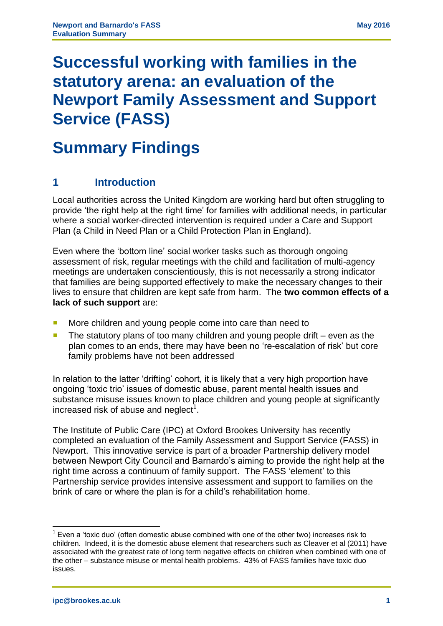# **Successful working with families in the statutory arena: an evaluation of the Newport Family Assessment and Support Service (FASS)**

# **Summary Findings**

# **1 Introduction**

Local authorities across the United Kingdom are working hard but often struggling to provide 'the right help at the right time' for families with additional needs, in particular where a social worker-directed intervention is required under a Care and Support Plan (a Child in Need Plan or a Child Protection Plan in England).

Even where the 'bottom line' social worker tasks such as thorough ongoing assessment of risk, regular meetings with the child and facilitation of multi-agency meetings are undertaken conscientiously, this is not necessarily a strong indicator that families are being supported effectively to make the necessary changes to their lives to ensure that children are kept safe from harm. The **two common effects of a lack of such support** are:

- More children and young people come into care than need to
- $\blacksquare$  The statutory plans of too many children and young people drift even as the plan comes to an ends, there may have been no 're-escalation of risk' but core family problems have not been addressed

In relation to the latter 'drifting' cohort, it is likely that a very high proportion have ongoing 'toxic trio' issues of domestic abuse, parent mental health issues and substance misuse issues known to place children and young people at significantly increased risk of abuse and neglect<sup>1</sup>.

The Institute of Public Care (IPC) at Oxford Brookes University has recently completed an evaluation of the Family Assessment and Support Service (FASS) in Newport. This innovative service is part of a broader Partnership delivery model between Newport City Council and Barnardo's aiming to provide the right help at the right time across a continuum of family support. The FASS 'element' to this Partnership service provides intensive assessment and support to families on the brink of care or where the plan is for a child's rehabilitation home.

 $\overline{a}$  $1$  Even a 'toxic duo' (often domestic abuse combined with one of the other two) increases risk to children. Indeed, it is the domestic abuse element that researchers such as Cleaver et al (2011) have associated with the greatest rate of long term negative effects on children when combined with one of the other – substance misuse or mental health problems. 43% of FASS families have toxic duo issues.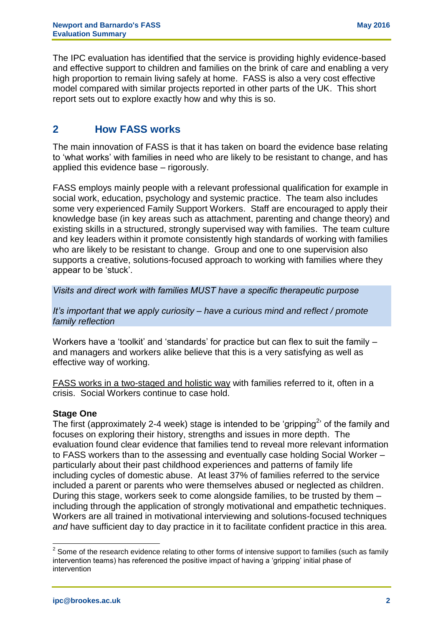The IPC evaluation has identified that the service is providing highly evidence-based and effective support to children and families on the brink of care and enabling a very high proportion to remain living safely at home. FASS is also a very cost effective model compared with similar projects reported in other parts of the UK. This short report sets out to explore exactly how and why this is so.

# **2 How FASS works**

The main innovation of FASS is that it has taken on board the evidence base relating to 'what works' with families in need who are likely to be resistant to change, and has applied this evidence base – rigorously.

FASS employs mainly people with a relevant professional qualification for example in social work, education, psychology and systemic practice. The team also includes some very experienced Family Support Workers. Staff are encouraged to apply their knowledge base (in key areas such as attachment, parenting and change theory) and existing skills in a structured, strongly supervised way with families. The team culture and key leaders within it promote consistently high standards of working with families who are likely to be resistant to change. Group and one to one supervision also supports a creative, solutions-focused approach to working with families where they appear to be 'stuck'.

*Visits and direct work with families MUST have a specific therapeutic purpose*

*It's important that we apply curiosity – have a curious mind and reflect / promote family reflection*

Workers have a 'toolkit' and 'standards' for practice but can flex to suit the family – and managers and workers alike believe that this is a very satisfying as well as effective way of working.

FASS works in a two-staged and holistic way with families referred to it, often in a crisis. Social Workers continue to case hold.

#### **Stage One**

The first (approximately 2-4 week) stage is intended to be 'gripping<sup>2</sup>' of the family and focuses on exploring their history, strengths and issues in more depth. The evaluation found clear evidence that families tend to reveal more relevant information to FASS workers than to the assessing and eventually case holding Social Worker – particularly about their past childhood experiences and patterns of family life including cycles of domestic abuse. At least 37% of families referred to the service included a parent or parents who were themselves abused or neglected as children. During this stage, workers seek to come alongside families, to be trusted by them – including through the application of strongly motivational and empathetic techniques. Workers are all trained in motivational interviewing and solutions-focused techniques and have sufficient day to day practice in it to facilitate confident practice in this area.

 $\overline{a}$ 

 $2$  Some of the research evidence relating to other forms of intensive support to families (such as family intervention teams) has referenced the positive impact of having a 'gripping' initial phase of intervention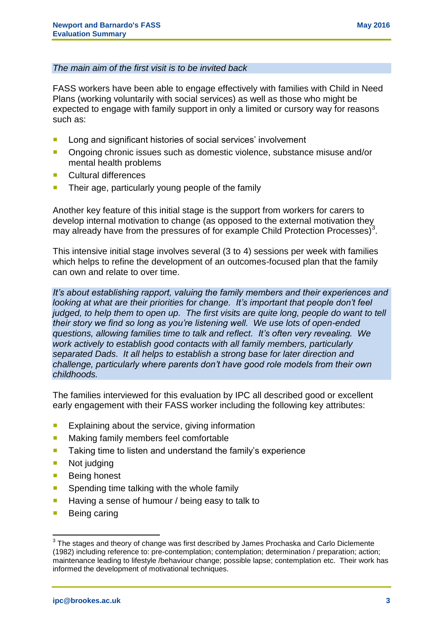#### *The main aim of the first visit is to be invited back*

FASS workers have been able to engage effectively with families with Child in Need Plans (working voluntarily with social services) as well as those who might be expected to engage with family support in only a limited or cursory way for reasons such as:

- **Long and significant histories of social services' involvement**
- Ongoing chronic issues such as domestic violence, substance misuse and/or mental health problems
- **Cultural differences**
- Their age, particularly young people of the family

Another key feature of this initial stage is the support from workers for carers to develop internal motivation to change (as opposed to the external motivation they may already have from the pressures of for example Child Protection Processes)<sup>3</sup>.

This intensive initial stage involves several (3 to 4) sessions per week with families which helps to refine the development of an outcomes-focused plan that the family can own and relate to over time.

*It's about establishing rapport, valuing the family members and their experiences and looking at what are their priorities for change. It's important that people don't feel judged, to help them to open up. The first visits are quite long, people do want to tell their story we find so long as you're listening well. We use lots of open-ended questions, allowing families time to talk and reflect. It's often very revealing. We work actively to establish good contacts with all family members, particularly separated Dads. It all helps to establish a strong base for later direction and challenge, particularly where parents don't have good role models from their own childhoods.* 

The families interviewed for this evaluation by IPC all described good or excellent early engagement with their FASS worker including the following key attributes:

- $\blacksquare$  Explaining about the service, giving information
- **Making family members feel comfortable**
- **Taking time to listen and understand the family's experience**
- **Not judging**
- Being honest
- **Spending time talking with the whole family**
- $\blacksquare$  Having a sense of humour / being easy to talk to
- Being caring

 3 The stages and theory of change was first described by James Prochaska and Carlo Diclemente (1982) including reference to: pre-contemplation; contemplation; determination / preparation; action; maintenance leading to lifestyle /behaviour change; possible lapse; contemplation etc. Their work has informed the development of motivational techniques.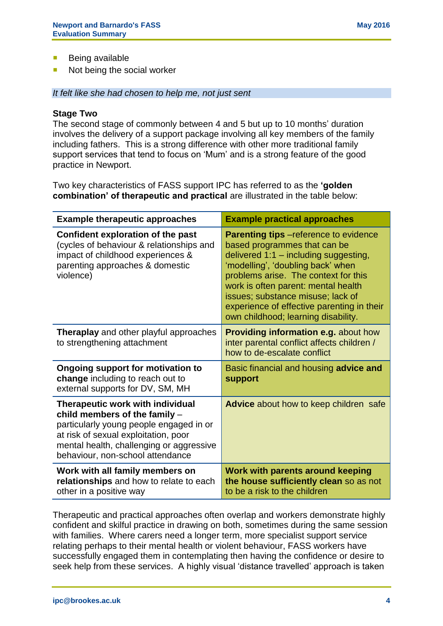- **Being available**
- Not being the social worker

*It felt like she had chosen to help me, not just sent*

#### **Stage Two**

The second stage of commonly between 4 and 5 but up to 10 months' duration involves the delivery of a support package involving all key members of the family including fathers. This is a strong difference with other more traditional family support services that tend to focus on 'Mum' and is a strong feature of the good practice in Newport.

Two key characteristics of FASS support IPC has referred to as the **'golden combination' of therapeutic and practical** are illustrated in the table below:

| <b>Example therapeutic approaches</b>                                                                                                                                                                                                | <b>Example practical approaches</b>                                                                                                                                                                                                                                                                                                                                    |
|--------------------------------------------------------------------------------------------------------------------------------------------------------------------------------------------------------------------------------------|------------------------------------------------------------------------------------------------------------------------------------------------------------------------------------------------------------------------------------------------------------------------------------------------------------------------------------------------------------------------|
| Confident exploration of the past<br>(cycles of behaviour & relationships and<br>impact of childhood experiences &<br>parenting approaches & domestic<br>violence)                                                                   | <b>Parenting tips</b> - reference to evidence<br>based programmes that can be<br>delivered $1:1$ – including suggesting,<br>'modelling', 'doubling back' when<br>problems arise. The context for this<br>work is often parent: mental health<br>issues; substance misuse; lack of<br>experience of effective parenting in their<br>own childhood; learning disability. |
| <b>Theraplay</b> and other playful approaches<br>to strengthening attachment                                                                                                                                                         | <b>Providing information e.g. about how</b><br>inter parental conflict affects children /<br>how to de-escalate conflict                                                                                                                                                                                                                                               |
| <b>Ongoing support for motivation to</b><br>change including to reach out to<br>external supports for DV, SM, MH                                                                                                                     | Basic financial and housing advice and<br><b>support</b>                                                                                                                                                                                                                                                                                                               |
| Therapeutic work with individual<br>child members of the family -<br>particularly young people engaged in or<br>at risk of sexual exploitation, poor<br>mental health, challenging or aggressive<br>behaviour, non-school attendance | <b>Advice</b> about how to keep children safe                                                                                                                                                                                                                                                                                                                          |
| Work with all family members on<br>relationships and how to relate to each<br>other in a positive way                                                                                                                                | Work with parents around keeping<br>the house sufficiently clean so as not<br>to be a risk to the children                                                                                                                                                                                                                                                             |

Therapeutic and practical approaches often overlap and workers demonstrate highly confident and skilful practice in drawing on both, sometimes during the same session with families. Where carers need a longer term, more specialist support service relating perhaps to their mental health or violent behaviour, FASS workers have successfully engaged them in contemplating then having the confidence or desire to seek help from these services. A highly visual 'distance travelled' approach is taken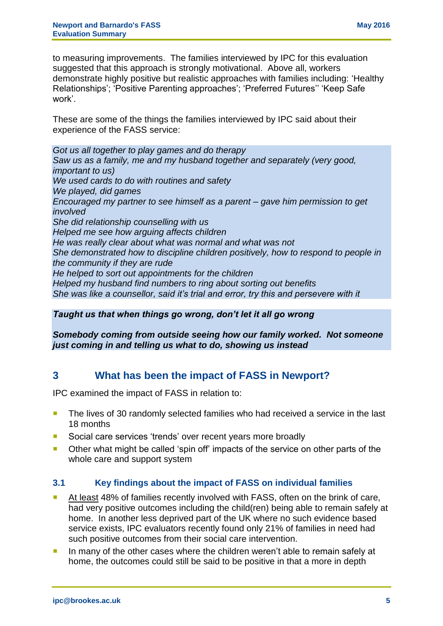to measuring improvements. The families interviewed by IPC for this evaluation suggested that this approach is strongly motivational. Above all, workers demonstrate highly positive but realistic approaches with families including: 'Healthy Relationships'; 'Positive Parenting approaches'; 'Preferred Futures'' 'Keep Safe work'.

These are some of the things the families interviewed by IPC said about their experience of the FASS service:

*Got us all together to play games and do therapy Saw us as a family, me and my husband together and separately (very good, important to us) We used cards to do with routines and safety We played, did games Encouraged my partner to see himself as a parent – gave him permission to get involved She did relationship counselling with us Helped me see how arguing affects children He was really clear about what was normal and what was not She demonstrated how to discipline children positively, how to respond to people in the community if they are rude He helped to sort out appointments for the children Helped my husband find numbers to ring about sorting out benefits She was like a counsellor, said it's trial and error, try this and persevere with it*

*Taught us that when things go wrong, don't let it all go wrong*

*Somebody coming from outside seeing how our family worked. Not someone just coming in and telling us what to do, showing us instead*

# **3 What has been the impact of FASS in Newport?**

IPC examined the impact of FASS in relation to:

- The lives of 30 randomly selected families who had received a service in the last 18 months
- Social care services 'trends' over recent years more broadly
- **Diamage 1** Other what might be called 'spin off' impacts of the service on other parts of the whole care and support system

#### **3.1 Key findings about the impact of FASS on individual families**

- At least 48% of families recently involved with FASS, often on the brink of care, had very positive outcomes including the child(ren) being able to remain safely at home. In another less deprived part of the UK where no such evidence based service exists, IPC evaluators recently found only 21% of families in need had such positive outcomes from their social care intervention.
- In many of the other cases where the children weren't able to remain safely at home, the outcomes could still be said to be positive in that a more in depth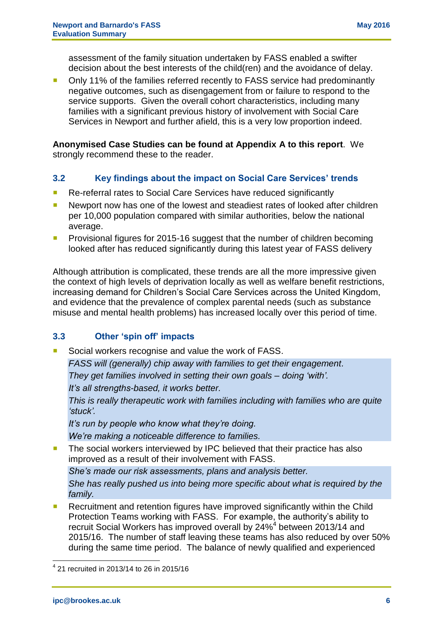assessment of the family situation undertaken by FASS enabled a swifter decision about the best interests of the child(ren) and the avoidance of delay.

 Only 11% of the families referred recently to FASS service had predominantly negative outcomes, such as disengagement from or failure to respond to the service supports. Given the overall cohort characteristics, including many families with a significant previous history of involvement with Social Care Services in Newport and further afield, this is a very low proportion indeed.

**Anonymised Case Studies can be found at Appendix A to this report**. We strongly recommend these to the reader.

## **3.2 Key findings about the impact on Social Care Services' trends**

- Re-referral rates to Social Care Services have reduced significantly
- **Newport now has one of the lowest and steadiest rates of looked after children** per 10,000 population compared with similar authorities, below the national average.
- **Provisional figures for 2015-16 suggest that the number of children becoming** looked after has reduced significantly during this latest year of FASS delivery

Although attribution is complicated, these trends are all the more impressive given the context of high levels of deprivation locally as well as welfare benefit restrictions, increasing demand for Children's Social Care Services across the United Kingdom, and evidence that the prevalence of complex parental needs (such as substance misuse and mental health problems) has increased locally over this period of time.

## **3.3 Other 'spin off' impacts**

Social workers recognise and value the work of FASS.

*FASS will (generally) chip away with families to get their engagement. They get families involved in setting their own goals – doing 'with'. It's all strengths-based, it works better.*

*This is really therapeutic work with families including with families who are quite 'stuck'.*

*It's run by people who know what they're doing.*

*We're making a noticeable difference to families.*

The social workers interviewed by IPC believed that their practice has also improved as a result of their involvement with FASS.

*She's made our risk assessments, plans and analysis better.*

*She has really pushed us into being more specific about what is required by the family.*

■ Recruitment and retention figures have improved significantly within the Child Protection Teams working with FASS. For example, the authority's ability to recruit Social Workers has improved overall by 24%<sup>4</sup> between 2013/14 and 2015/16. The number of staff leaving these teams has also reduced by over 50% during the same time period. The balance of newly qualified and experienced

 $\overline{a}$ 

<sup>4</sup> 21 recruited in 2013/14 to 26 in 2015/16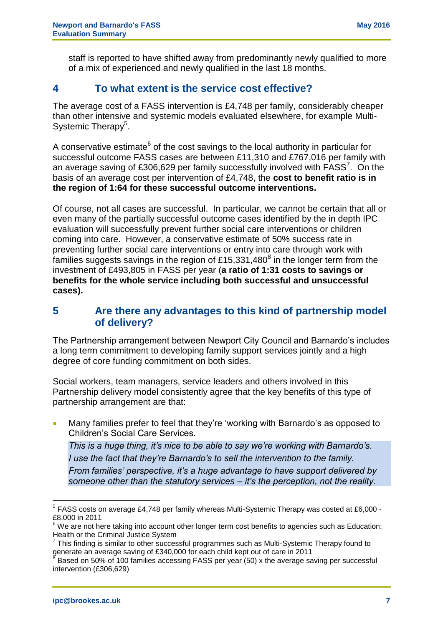staff is reported to have shifted away from predominantly newly qualified to more of a mix of experienced and newly qualified in the last 18 months.

# **4 To what extent is the service cost effective?**

The average cost of a FASS intervention is £4,748 per family, considerably cheaper than other intensive and systemic models evaluated elsewhere, for example Multi-Systemic Therapy<sup>5</sup>.

A conservative estimate<sup>6</sup> of the cost savings to the local authority in particular for successful outcome FASS cases are between £11,310 and £767,016 per family with an average saving of £306,629 per family successfully involved with  $FASS^7$ . On the basis of an average cost per intervention of £4,748, the **cost to benefit ratio is in the region of 1:64 for these successful outcome interventions.**

Of course, not all cases are successful. In particular, we cannot be certain that all or even many of the partially successful outcome cases identified by the in depth IPC evaluation will successfully prevent further social care interventions or children coming into care. However, a conservative estimate of 50% success rate in preventing further social care interventions or entry into care through work with families suggests savings in the region of £15,331,480<sup>8</sup> in the longer term from the investment of £493,805 in FASS per year (**a ratio of 1:31 costs to savings or benefits for the whole service including both successful and unsuccessful cases).**

# **5 Are there any advantages to this kind of partnership model of delivery?**

The Partnership arrangement between Newport City Council and Barnardo's includes a long term commitment to developing family support services jointly and a high degree of core funding commitment on both sides.

Social workers, team managers, service leaders and others involved in this Partnership delivery model consistently agree that the key benefits of this type of partnership arrangement are that:

 Many families prefer to feel that they're 'working with Barnardo's as opposed to Children's Social Care Services.

*This is a huge thing, it's nice to be able to say we're working with Barnardo's. I use the fact that they're Barnardo's to sell the intervention to the family. From families' perspective, it's a huge advantage to have support delivered by someone other than the statutory services – it's the perception, not the reality.*

 5 FASS costs on average £4,748 per family whereas Multi-Systemic Therapy was costed at £6,000 - £8,000 in 2011

 $6$  We are not here taking into account other longer term cost benefits to agencies such as Education; Health or the Criminal Justice System

<sup>7</sup> This finding is similar to other successful programmes such as Multi-Systemic Therapy found to generate an average saving of £340,000 for each child kept out of care in 2011

<sup>8</sup> Based on 50% of 100 families accessing FASS per year (50) x the average saving per successful intervention (£306,629)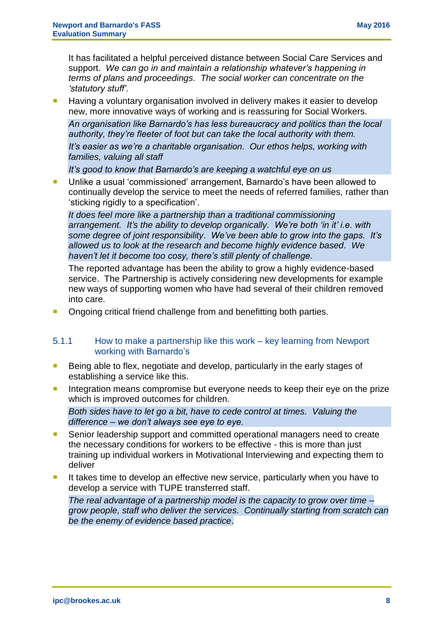It has facilitated a helpful perceived distance between Social Care Services and support. *We can go in and maintain a relationship whatever's happening in terms of plans and proceedings. The social worker can concentrate on the 'statutory stuff'.*

**Having a voluntary organisation involved in delivery makes it easier to develop** new, more innovative ways of working and is reassuring for Social Workers.

*An organisation like Barnardo's has less bureaucracy and politics than the local authority, they're fleeter of foot but can take the local authority with them. It's easier as we're a charitable organisation. Our ethos helps, working with families, valuing all staff*

*It's good to know that Barnardo's are keeping a watchful eye on us*

 Unlike a usual 'commissioned' arrangement, Barnardo's have been allowed to continually develop the service to meet the needs of referred families, rather than 'sticking rigidly to a specification'.

*It does feel more like a partnership than a traditional commissioning arrangement. It's the ability to develop organically. We're both 'in it' i.e. with some degree of joint responsibility*. *We've been able to grow into the gaps. It's allowed us to look at the research and become highly evidence based. We haven't let it become too cosy, there's still plenty of challenge.* 

The reported advantage has been the ability to grow a highly evidence-based service. The Partnership is actively considering new developments for example new ways of supporting women who have had several of their children removed into care.

Ongoing critical friend challenge from and benefitting both parties.

#### 5.1.1 How to make a partnership like this work – key learning from Newport working with Barnardo's

- Being able to flex, negotiate and develop, particularly in the early stages of establishing a service like this.
- Integration means compromise but everyone needs to keep their eye on the prize which is improved outcomes for children.

*Both sides have to let go a bit, have to cede control at times. Valuing the difference – we don't always see eye to eye.*

- Senior leadership support and committed operational managers need to create the necessary conditions for workers to be effective - this is more than just training up individual workers in Motivational Interviewing and expecting them to deliver
- It takes time to develop an effective new service, particularly when you have to develop a service with TUPE transferred staff.

*The real advantage of a partnership model is the capacity to grow over time – grow people, staff who deliver the services. Continually starting from scratch can be the enemy of evidence based practice*.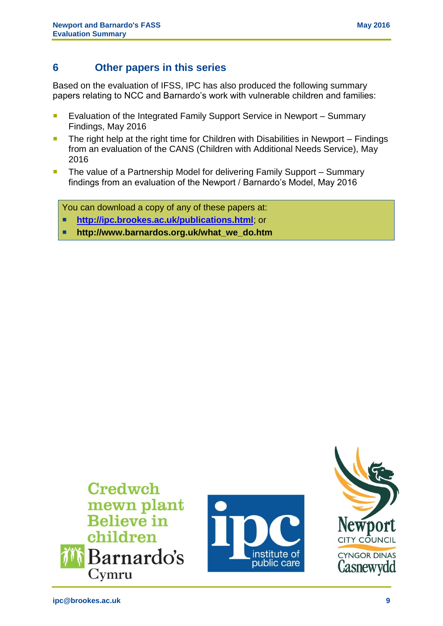# **6 Other papers in this series**

Based on the evaluation of IFSS, IPC has also produced the following summary papers relating to NCC and Barnardo's work with vulnerable children and families:

- **EValuation of the Integrated Family Support Service in Newport Summary** Findings, May 2016
- The right help at the right time for Children with Disabilities in Newport Findings from an evaluation of the CANS (Children with Additional Needs Service), May 2016
- **The value of a Partnership Model for delivering Family Support Summary** findings from an evaluation of the Newport / Barnardo's Model, May 2016

You can download a copy of any of these papers at:

- **<http://ipc.brookes.ac.uk/publications.html>**; or
- **http://www.barnardos.org.uk/what\_we\_do.htm**

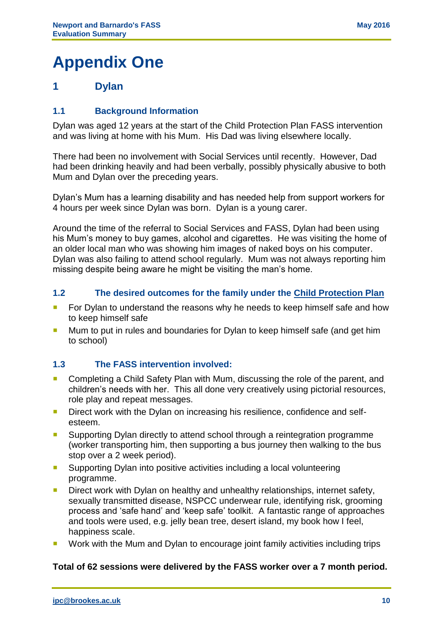# **Appendix One**

# **1 Dylan**

## **1.1 Background Information**

Dylan was aged 12 years at the start of the Child Protection Plan FASS intervention and was living at home with his Mum. His Dad was living elsewhere locally.

There had been no involvement with Social Services until recently. However, Dad had been drinking heavily and had been verbally, possibly physically abusive to both Mum and Dylan over the preceding years.

Dylan's Mum has a learning disability and has needed help from support workers for 4 hours per week since Dylan was born. Dylan is a young carer.

Around the time of the referral to Social Services and FASS, Dylan had been using his Mum's money to buy games, alcohol and cigarettes. He was visiting the home of an older local man who was showing him images of naked boys on his computer. Dylan was also failing to attend school regularly. Mum was not always reporting him missing despite being aware he might be visiting the man's home.

#### **1.2 The desired outcomes for the family under the Child Protection Plan**

- For Dylan to understand the reasons why he needs to keep himself safe and how to keep himself safe
- Mum to put in rules and boundaries for Dylan to keep himself safe (and get him to school)

#### **1.3 The FASS intervention involved:**

- **EXT** Completing a Child Safety Plan with Mum, discussing the role of the parent, and children's needs with her. This all done very creatively using pictorial resources, role play and repeat messages.
- **Direct work with the Dylan on increasing his resilience, confidence and self**esteem.
- **Supporting Dylan directly to attend school through a reintegration programme** (worker transporting him, then supporting a bus journey then walking to the bus stop over a 2 week period).
- Supporting Dylan into positive activities including a local volunteering programme.
- **Direct work with Dylan on healthy and unhealthy relationships, internet safety,** sexually transmitted disease, NSPCC underwear rule, identifying risk, grooming process and 'safe hand' and 'keep safe' toolkit. A fantastic range of approaches and tools were used, e.g. jelly bean tree, desert island, my book how I feel, happiness scale.
- **Work with the Mum and Dylan to encourage joint family activities including trips**

#### **Total of 62 sessions were delivered by the FASS worker over a 7 month period.**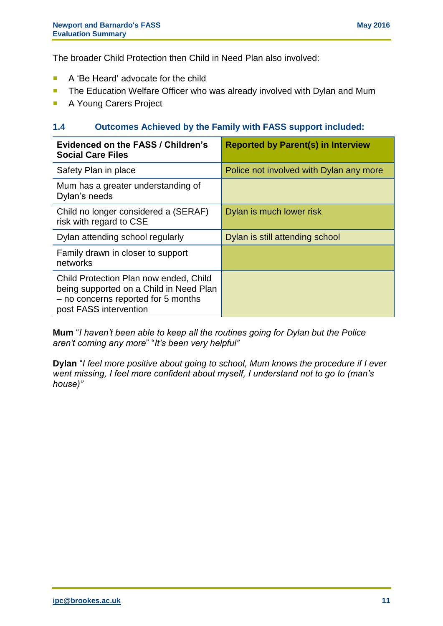The broader Child Protection then Child in Need Plan also involved:

- A 'Be Heard' advocate for the child
- **The Education Welfare Officer who was already involved with Dylan and Mum**
- **A Young Carers Project**

#### **1.4 Outcomes Achieved by the Family with FASS support included:**

| <b>Evidenced on the FASS / Children's</b><br><b>Social Care Files</b>                                                                              | <b>Reported by Parent(s) in Interview</b> |
|----------------------------------------------------------------------------------------------------------------------------------------------------|-------------------------------------------|
| Safety Plan in place                                                                                                                               | Police not involved with Dylan any more   |
| Mum has a greater understanding of<br>Dylan's needs                                                                                                |                                           |
| Child no longer considered a (SERAF)<br>risk with regard to CSE                                                                                    | Dylan is much lower risk                  |
| Dylan attending school regularly                                                                                                                   | Dylan is still attending school           |
| Family drawn in closer to support<br>networks                                                                                                      |                                           |
| Child Protection Plan now ended, Child<br>being supported on a Child in Need Plan<br>- no concerns reported for 5 months<br>post FASS intervention |                                           |

**Mum** "*I haven't been able to keep all the routines going for Dylan but the Police aren't coming any more*" "*It's been very helpful"*

**Dylan** "*I feel more positive about going to school, Mum knows the procedure if I ever went missing, I feel more confident about myself, I understand not to go to (man's house)"*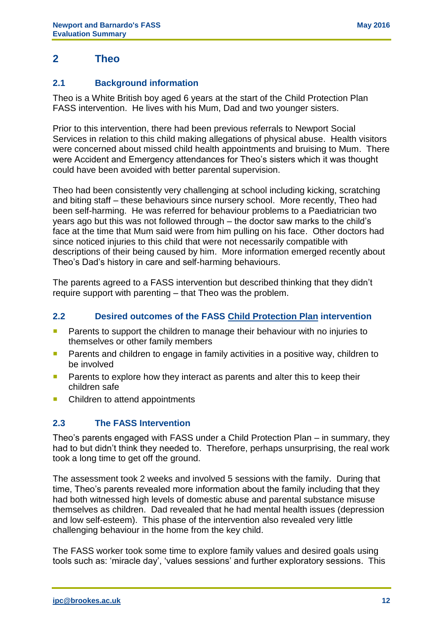# **2 Theo**

## **2.1 Background information**

Theo is a White British boy aged 6 years at the start of the Child Protection Plan FASS intervention. He lives with his Mum, Dad and two younger sisters.

Prior to this intervention, there had been previous referrals to Newport Social Services in relation to this child making allegations of physical abuse. Health visitors were concerned about missed child health appointments and bruising to Mum. There were Accident and Emergency attendances for Theo's sisters which it was thought could have been avoided with better parental supervision.

Theo had been consistently very challenging at school including kicking, scratching and biting staff – these behaviours since nursery school. More recently, Theo had been self-harming. He was referred for behaviour problems to a Paediatrician two years ago but this was not followed through – the doctor saw marks to the child's face at the time that Mum said were from him pulling on his face. Other doctors had since noticed injuries to this child that were not necessarily compatible with descriptions of their being caused by him. More information emerged recently about Theo's Dad's history in care and self-harming behaviours.

The parents agreed to a FASS intervention but described thinking that they didn't require support with parenting – that Theo was the problem.

## **2.2 Desired outcomes of the FASS Child Protection Plan intervention**

- **Parents to support the children to manage their behaviour with no injuries to** themselves or other family members
- **Parents and children to engage in family activities in a positive way, children to** be involved
- **Parents to explore how they interact as parents and alter this to keep their** children safe
- Children to attend appointments

## **2.3 The FASS Intervention**

Theo's parents engaged with FASS under a Child Protection Plan – in summary, they had to but didn't think they needed to. Therefore, perhaps unsurprising, the real work took a long time to get off the ground.

The assessment took 2 weeks and involved 5 sessions with the family. During that time, Theo's parents revealed more information about the family including that they had both witnessed high levels of domestic abuse and parental substance misuse themselves as children. Dad revealed that he had mental health issues (depression and low self-esteem). This phase of the intervention also revealed very little challenging behaviour in the home from the key child.

The FASS worker took some time to explore family values and desired goals using tools such as: 'miracle day', 'values sessions' and further exploratory sessions. This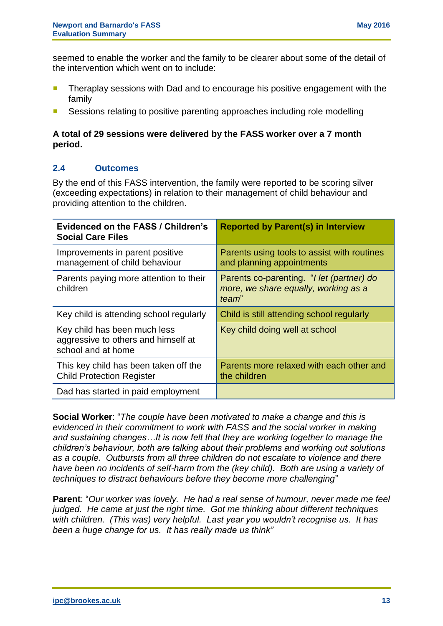seemed to enable the worker and the family to be clearer about some of the detail of the intervention which went on to include:

- **Theraplay sessions with Dad and to encourage his positive engagement with the** family
- Sessions relating to positive parenting approaches including role modelling

#### **A total of 29 sessions were delivered by the FASS worker over a 7 month period.**

## **2.4 Outcomes**

By the end of this FASS intervention, the family were reported to be scoring silver (exceeding expectations) in relation to their management of child behaviour and providing attention to the children.

| <b>Evidenced on the FASS / Children's</b><br><b>Social Care Files</b>                     | <b>Reported by Parent(s) in Interview</b>                                                  |
|-------------------------------------------------------------------------------------------|--------------------------------------------------------------------------------------------|
| Improvements in parent positive<br>management of child behaviour                          | Parents using tools to assist with routines<br>and planning appointments                   |
| Parents paying more attention to their<br>children                                        | Parents co-parenting. "I let (partner) do<br>more, we share equally, working as a<br>team" |
| Key child is attending school regularly                                                   | Child is still attending school regularly                                                  |
| Key child has been much less<br>aggressive to others and himself at<br>school and at home | Key child doing well at school                                                             |
| This key child has been taken off the<br><b>Child Protection Register</b>                 | Parents more relaxed with each other and<br>the children                                   |
| Dad has started in paid employment                                                        |                                                                                            |

**Social Worker**: "*The couple have been motivated to make a change and this is evidenced in their commitment to work with FASS and the social worker in making and sustaining changes…It is now felt that they are working together to manage the children's behaviour, both are talking about their problems and working out solutions as a couple. Outbursts from all three children do not escalate to violence and there*  have been no incidents of self-harm from the (key child). Both are using a variety of *techniques to distract behaviours before they become more challenging*"

**Parent**: "*Our worker was lovely. He had a real sense of humour, never made me feel judged. He came at just the right time. Got me thinking about different techniques with children. (This was) very helpful. Last year you wouldn't recognise us. It has been a huge change for us. It has really made us think"*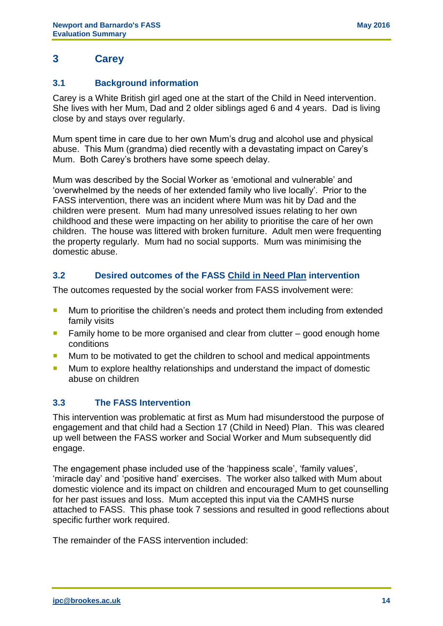# **3 Carey**

## **3.1 Background information**

Carey is a White British girl aged one at the start of the Child in Need intervention. She lives with her Mum, Dad and 2 older siblings aged 6 and 4 years. Dad is living close by and stays over regularly.

Mum spent time in care due to her own Mum's drug and alcohol use and physical abuse. This Mum (grandma) died recently with a devastating impact on Carey's Mum. Both Carey's brothers have some speech delay.

Mum was described by the Social Worker as 'emotional and vulnerable' and 'overwhelmed by the needs of her extended family who live locally'. Prior to the FASS intervention, there was an incident where Mum was hit by Dad and the children were present. Mum had many unresolved issues relating to her own childhood and these were impacting on her ability to prioritise the care of her own children. The house was littered with broken furniture. Adult men were frequenting the property regularly. Mum had no social supports. Mum was minimising the domestic abuse.

## **3.2 Desired outcomes of the FASS Child in Need Plan intervention**

The outcomes requested by the social worker from FASS involvement were:

- **Mum to prioritise the children's needs and protect them including from extended** family visits
- **Family home to be more organised and clear from clutter good enough home** conditions
- **Mum to be motivated to get the children to school and medical appointments**
- **Mum to explore healthy relationships and understand the impact of domestic** abuse on children

## **3.3 The FASS Intervention**

This intervention was problematic at first as Mum had misunderstood the purpose of engagement and that child had a Section 17 (Child in Need) Plan. This was cleared up well between the FASS worker and Social Worker and Mum subsequently did engage.

The engagement phase included use of the 'happiness scale', 'family values', 'miracle day' and 'positive hand' exercises. The worker also talked with Mum about domestic violence and its impact on children and encouraged Mum to get counselling for her past issues and loss. Mum accepted this input via the CAMHS nurse attached to FASS. This phase took 7 sessions and resulted in good reflections about specific further work required.

The remainder of the FASS intervention included: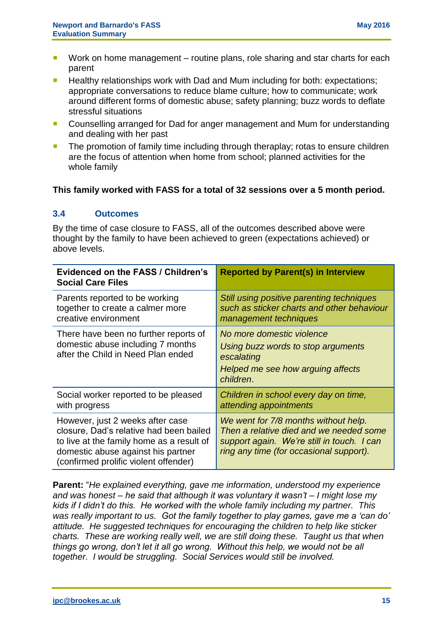- Work on home management routine plans, role sharing and star charts for each parent
- **Healthy relationships work with Dad and Mum including for both: expectations;** appropriate conversations to reduce blame culture; how to communicate; work around different forms of domestic abuse; safety planning; buzz words to deflate stressful situations
- Counselling arranged for Dad for anger management and Mum for understanding and dealing with her past
- **The promotion of family time including through theraplay; rotas to ensure children** are the focus of attention when home from school; planned activities for the whole family

## **This family worked with FASS for a total of 32 sessions over a 5 month period.**

#### **3.4 Outcomes**

By the time of case closure to FASS, all of the outcomes described above were thought by the family to have been achieved to green (expectations achieved) or above levels.

| <b>Evidenced on the FASS / Children's</b><br><b>Social Care Files</b>                                                                                                                                   | <b>Reported by Parent(s) in Interview</b>                                                                                                                                |
|---------------------------------------------------------------------------------------------------------------------------------------------------------------------------------------------------------|--------------------------------------------------------------------------------------------------------------------------------------------------------------------------|
| Parents reported to be working<br>together to create a calmer more<br>creative environment                                                                                                              | Still using positive parenting techniques<br>such as sticker charts and other behaviour<br>management techniques                                                         |
| There have been no further reports of<br>domestic abuse including 7 months<br>after the Child in Need Plan ended                                                                                        | No more domestic violence<br>Using buzz words to stop arguments<br>escalating<br>Helped me see how arguing affects<br>children.                                          |
| Social worker reported to be pleased<br>with progress                                                                                                                                                   | Children in school every day on time,<br>attending appointments                                                                                                          |
| However, just 2 weeks after case<br>closure, Dad's relative had been bailed<br>to live at the family home as a result of<br>domestic abuse against his partner<br>(confirmed prolific violent offender) | We went for 7/8 months without help.<br>Then a relative died and we needed some<br>support again. We're still in touch. I can<br>ring any time (for occasional support). |

**Parent:** "*He explained everything, gave me information, understood my experience and was honest – he said that although it was voluntary it wasn't – I might lose my kids if I didn't do this. He worked with the whole family including my partner. This was really important to us. Got the family together to play games, gave me a 'can do' attitude. He suggested techniques for encouraging the children to help like sticker charts. These are working really well, we are still doing these. Taught us that when things go wrong, don't let it all go wrong. Without this help, we would not be all together. I would be struggling. Social Services would still be involved.*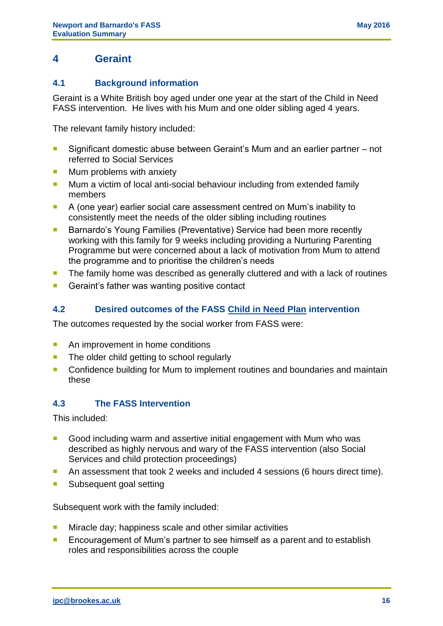# **4 Geraint**

## **4.1 Background information**

Geraint is a White British boy aged under one year at the start of the Child in Need FASS intervention. He lives with his Mum and one older sibling aged 4 years.

The relevant family history included:

- Significant domestic abuse between Geraint's Mum and an earlier partner not referred to Social Services
- $\blacksquare$  Mum problems with anxiety
- Mum a victim of local anti-social behaviour including from extended family members
- A (one year) earlier social care assessment centred on Mum's inability to consistently meet the needs of the older sibling including routines
- Barnardo's Young Families (Preventative) Service had been more recently working with this family for 9 weeks including providing a Nurturing Parenting Programme but were concerned about a lack of motivation from Mum to attend the programme and to prioritise the children's needs
- **The family home was described as generally cluttered and with a lack of routines**
- Geraint's father was wanting positive contact

## **4.2 Desired outcomes of the FASS Child in Need Plan intervention**

The outcomes requested by the social worker from FASS were:

- An improvement in home conditions
- **The older child getting to school regularly**
- Confidence building for Mum to implement routines and boundaries and maintain these

#### **4.3 The FASS Intervention**

This included:

- Good including warm and assertive initial engagement with Mum who was described as highly nervous and wary of the FASS intervention (also Social Services and child protection proceedings)
- An assessment that took 2 weeks and included 4 sessions (6 hours direct time).
- Subsequent goal setting

Subsequent work with the family included:

- **Miracle day; happiness scale and other similar activities**
- **Encouragement of Mum's partner to see himself as a parent and to establish** roles and responsibilities across the couple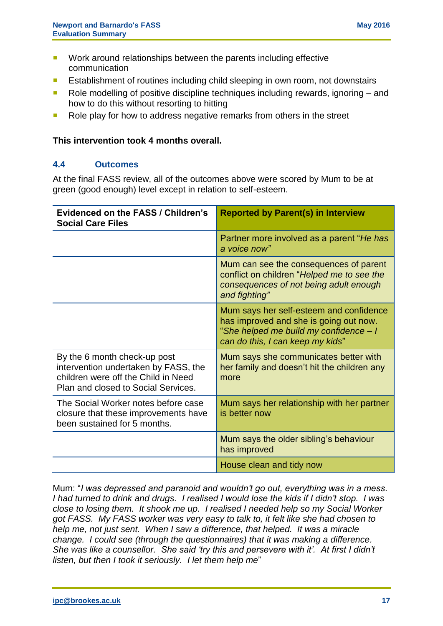- **Work around relationships between the parents including effective** communication
- **E** Establishment of routines including child sleeping in own room, not downstairs
- Role modelling of positive discipline techniques including rewards, ignoring and how to do this without resorting to hitting
- Role play for how to address negative remarks from others in the street

#### **This intervention took 4 months overall.**

#### **4.4 Outcomes**

At the final FASS review, all of the outcomes above were scored by Mum to be at green (good enough) level except in relation to self-esteem.

| <b>Evidenced on the FASS / Children's</b><br><b>Social Care Files</b>                                                                              | <b>Reported by Parent(s) in Interview</b>                                                                                                                       |
|----------------------------------------------------------------------------------------------------------------------------------------------------|-----------------------------------------------------------------------------------------------------------------------------------------------------------------|
|                                                                                                                                                    | Partner more involved as a parent "He has<br>a voice now"                                                                                                       |
|                                                                                                                                                    | Mum can see the consequences of parent<br>conflict on children "Helped me to see the<br>consequences of not being adult enough<br>and fighting"                 |
|                                                                                                                                                    | Mum says her self-esteem and confidence<br>has improved and she is going out now.<br>"She helped me build my confidence - I<br>can do this, I can keep my kids" |
| By the 6 month check-up post<br>intervention undertaken by FASS, the<br>children were off the Child in Need<br>Plan and closed to Social Services. | Mum says she communicates better with<br>her family and doesn't hit the children any<br>more                                                                    |
| The Social Worker notes before case<br>closure that these improvements have<br>been sustained for 5 months.                                        | Mum says her relationship with her partner<br>is better now                                                                                                     |
|                                                                                                                                                    | Mum says the older sibling's behaviour<br>has improved                                                                                                          |
|                                                                                                                                                    | House clean and tidy now                                                                                                                                        |

Mum: "*I was depressed and paranoid and wouldn't go out, everything was in a mess. I had turned to drink and drugs. I realised I would lose the kids if I didn't stop. I was close to losing them. It shook me up. I realised I needed help so my Social Worker got FASS. My FASS worker was very easy to talk to, it felt like she had chosen to help me, not just sent. When I saw a difference, that helped. It was a miracle change. I could see (through the questionnaires) that it was making a difference. She was like a counsellor. She said 'try this and persevere with it'. At first I didn't listen, but then I took it seriously. I let them help me*"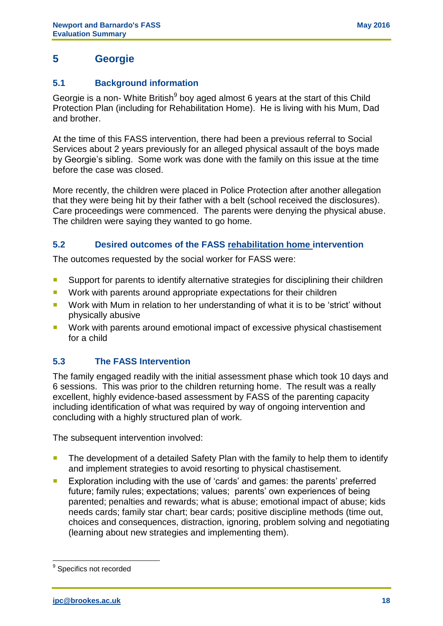# **5 Georgie**

## **5.1 Background information**

Georgie is a non- White British<sup>9</sup> boy aged almost 6 years at the start of this Child Protection Plan (including for Rehabilitation Home). He is living with his Mum, Dad and brother.

At the time of this FASS intervention, there had been a previous referral to Social Services about 2 years previously for an alleged physical assault of the boys made by Georgie's sibling. Some work was done with the family on this issue at the time before the case was closed.

More recently, the children were placed in Police Protection after another allegation that they were being hit by their father with a belt (school received the disclosures). Care proceedings were commenced. The parents were denying the physical abuse. The children were saying they wanted to go home.

# **5.2 Desired outcomes of the FASS rehabilitation home intervention**

The outcomes requested by the social worker for FASS were:

- **Support for parents to identify alternative strategies for disciplining their children**
- **Work with parents around appropriate expectations for their children**
- Work with Mum in relation to her understanding of what it is to be 'strict' without physically abusive
- Work with parents around emotional impact of excessive physical chastisement for a child

# **5.3 The FASS Intervention**

The family engaged readily with the initial assessment phase which took 10 days and 6 sessions. This was prior to the children returning home. The result was a really excellent, highly evidence-based assessment by FASS of the parenting capacity including identification of what was required by way of ongoing intervention and concluding with a highly structured plan of work.

The subsequent intervention involved:

- **The development of a detailed Safety Plan with the family to help them to identify** and implement strategies to avoid resorting to physical chastisement.
- **Exploration including with the use of 'cards' and games: the parents' preferred** future; family rules; expectations; values; parents' own experiences of being parented; penalties and rewards; what is abuse; emotional impact of abuse; kids needs cards; family star chart; bear cards; positive discipline methods (time out, choices and consequences, distraction, ignoring, problem solving and negotiating (learning about new strategies and implementing them).

 9 Specifics not recorded